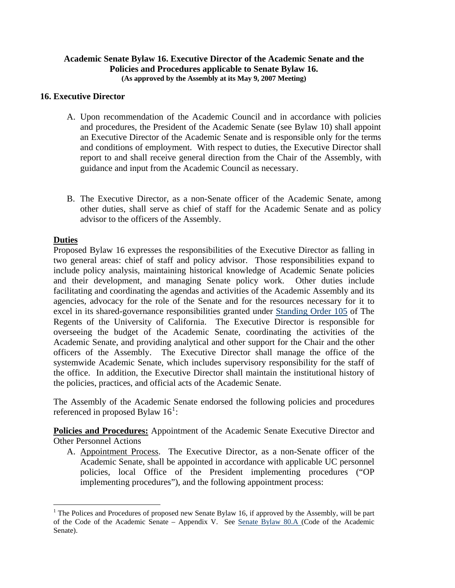## **Academic Senate Bylaw 16. Executive Director of the Academic Senate and the Policies and Procedures applicable to Senate Bylaw 16. (As approved by the Assembly at its May 9, 2007 Meeting)**

## **16. Executive Director**

- A. Upon recommendation of the Academic Council and in accordance with policies and procedures, the President of the Academic Senate (see Bylaw 10) shall appoint an Executive Director of the Academic Senate and is responsible only for the terms and conditions of employment. With respect to duties, the Executive Director shall report to and shall receive general direction from the Chair of the Assembly, with guidance and input from the Academic Council as necessary.
- B. The Executive Director, as a non-Senate officer of the Academic Senate, among other duties, shall serve as chief of staff for the Academic Senate and as policy advisor to the officers of the Assembly.

## **Duties**

 $\overline{a}$ 

Proposed Bylaw 16 expresses the responsibilities of the Executive Director as falling in two general areas: chief of staff and policy advisor. Those responsibilities expand to include policy analysis, maintaining historical knowledge of Academic Senate policies and their development, and managing Senate policy work. Other duties include facilitating and coordinating the agendas and activities of the Academic Assembly and its agencies, advocacy for the role of the Senate and for the resources necessary for it to excel in its shared-governance responsibilities granted under [Standing Order 105](http://www.universityofcalifornia.edu/regents/bylaws/so1052.html) of The Regents of the University of California. The Executive Director is responsible for overseeing the budget of the Academic Senate, coordinating the activities of the Academic Senate, and providing analytical and other support for the Chair and the other officers of the Assembly. The Executive Director shall manage the office of the systemwide Academic Senate, which includes supervisory responsibility for the staff of the office. In addition, the Executive Director shall maintain the institutional history of the policies, practices, and official acts of the Academic Senate.

The Assembly of the Academic Senate endorsed the following policies and procedures referenced in proposed Bylaw  $16^1$  $16^1$ :

**Policies and Procedures:** Appointment of the Academic Senate Executive Director and Other Personnel Actions

A. Appointment Process. The Executive Director, as a non-Senate officer of the Academic Senate, shall be appointed in accordance with applicable UC personnel policies, local Office of the President implementing procedures ("OP implementing procedures"), and the following appointment process:

<span id="page-0-0"></span><sup>&</sup>lt;sup>1</sup> The Polices and Procedures of proposed new Senate Bylaw 16, if approved by the Assembly, will be part of the Code of the Academic Senate – Appendix V. See [Senate Bylaw 80.A \(](http://www.universityofcalifornia.edu/senate/manual/blpart1.html#bl80)Code of the Academic Senate).